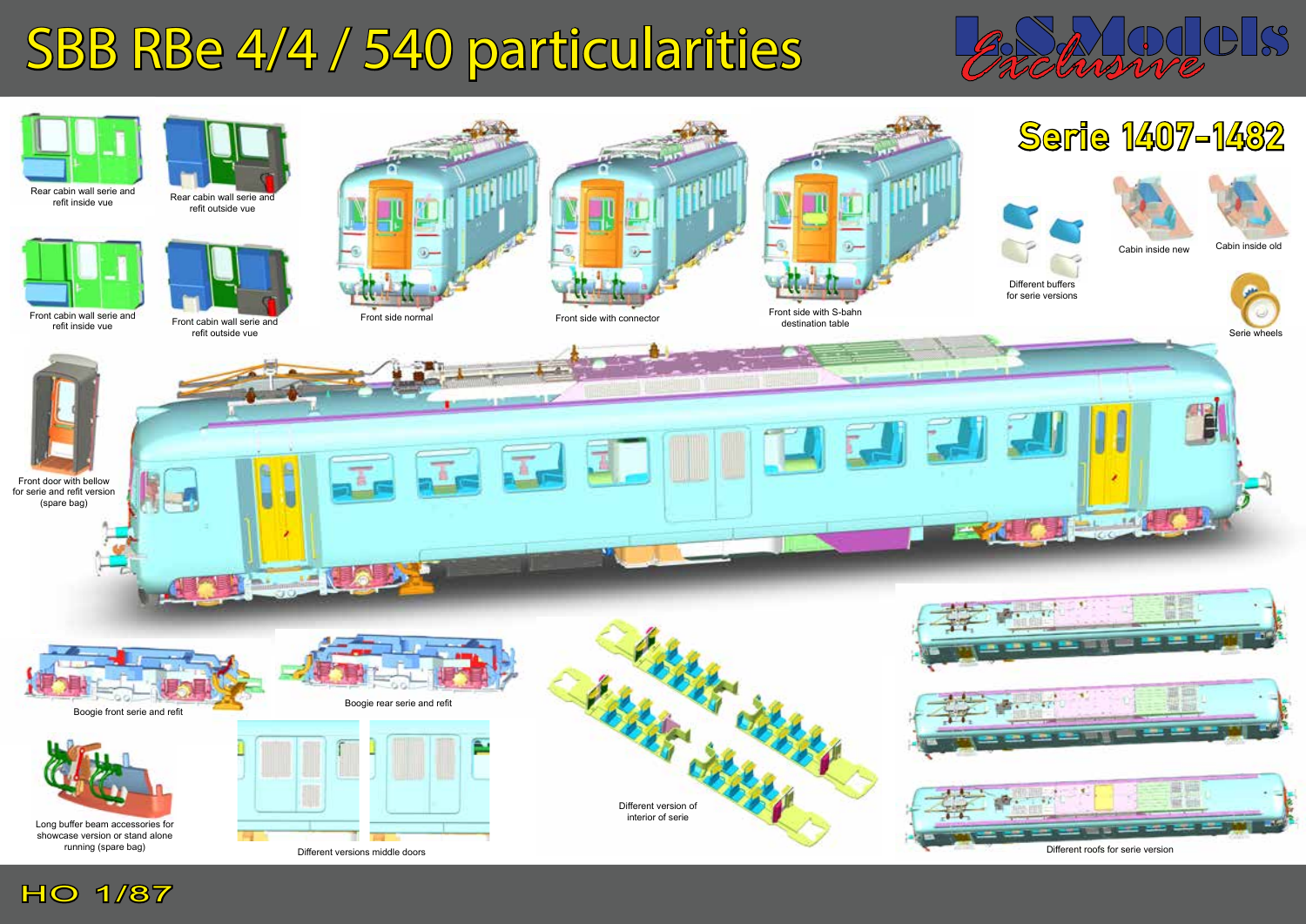## SBB RBe 4/4 / 540 particularities



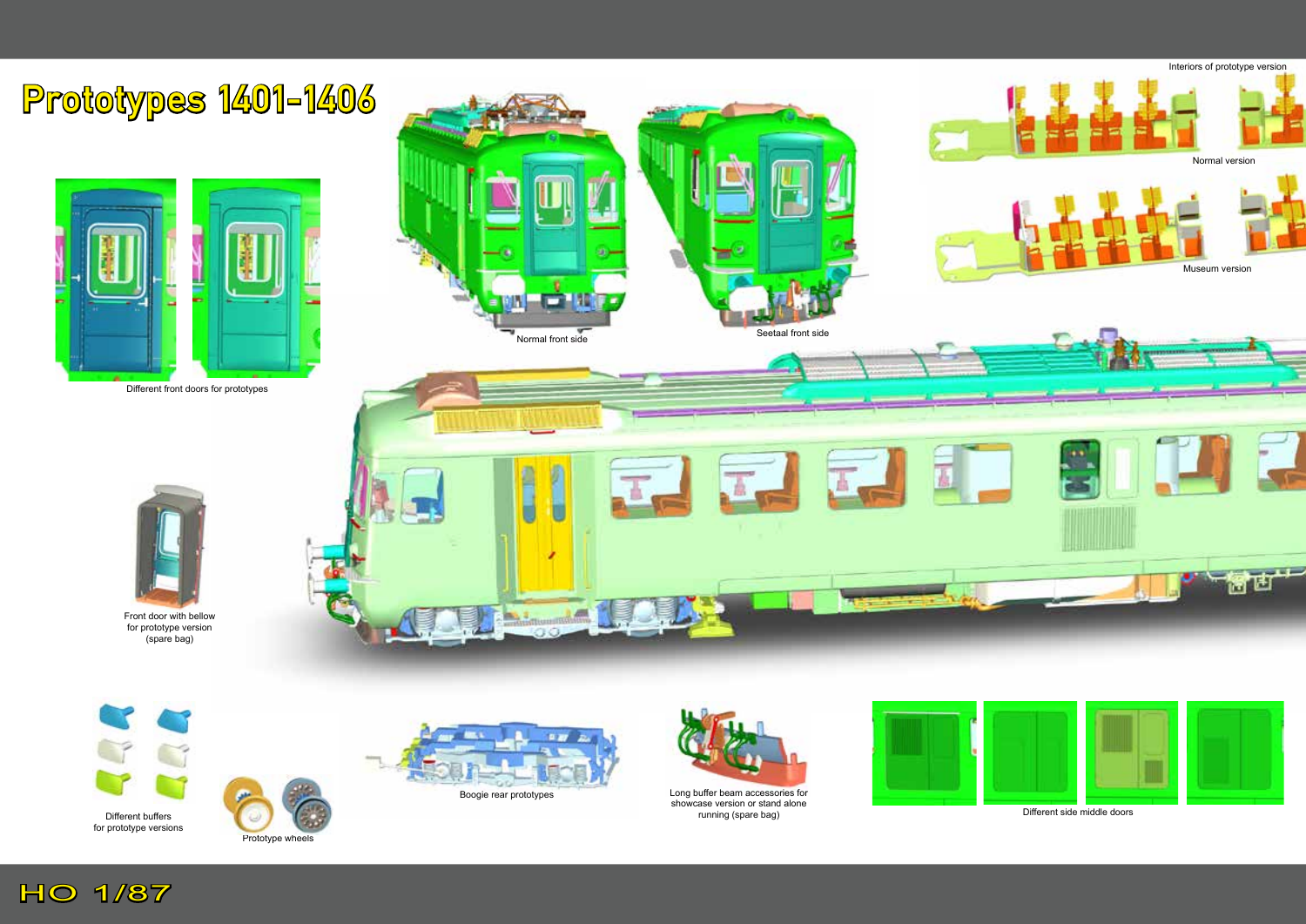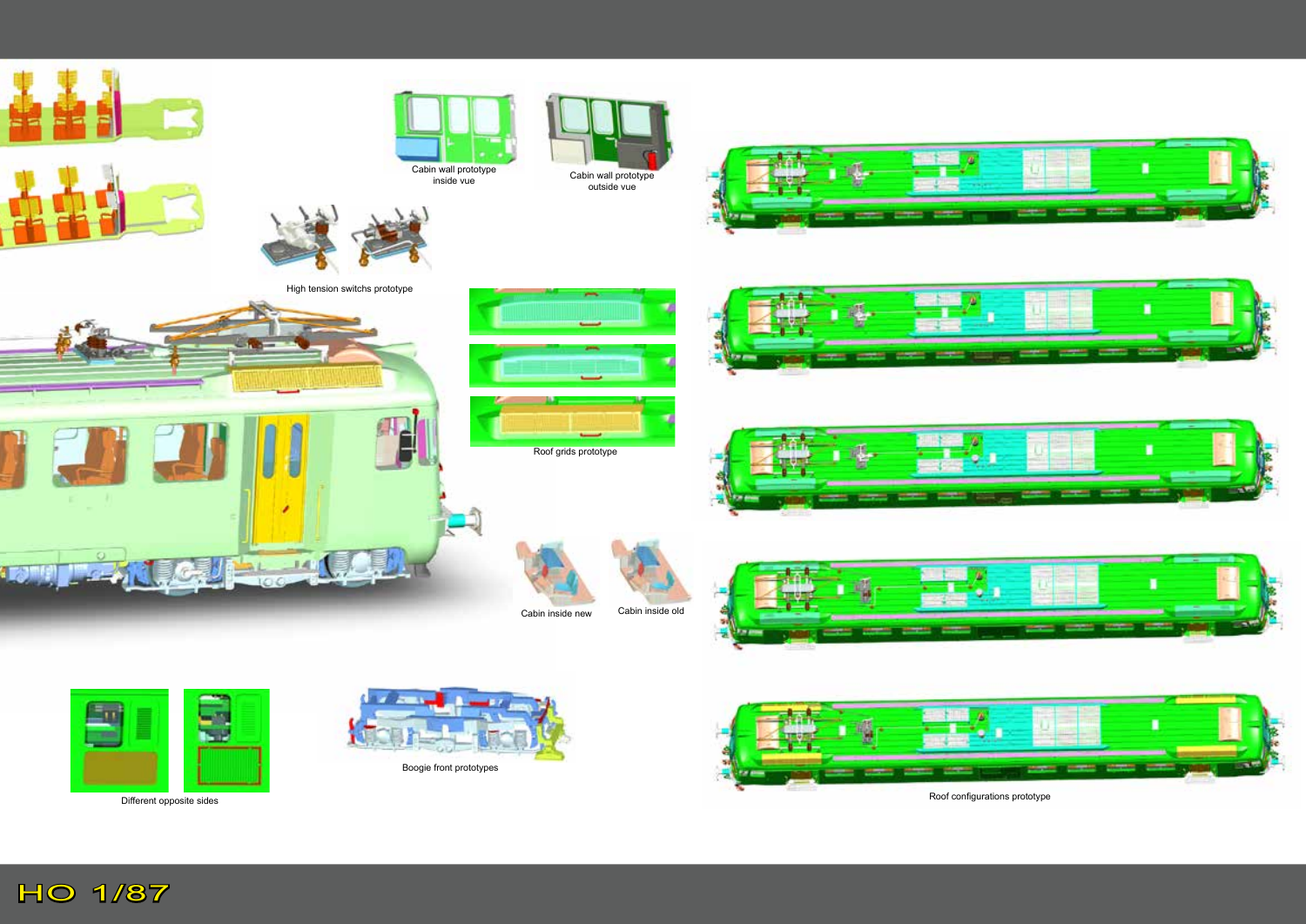

Roof configurations prototype

Different opposite sides